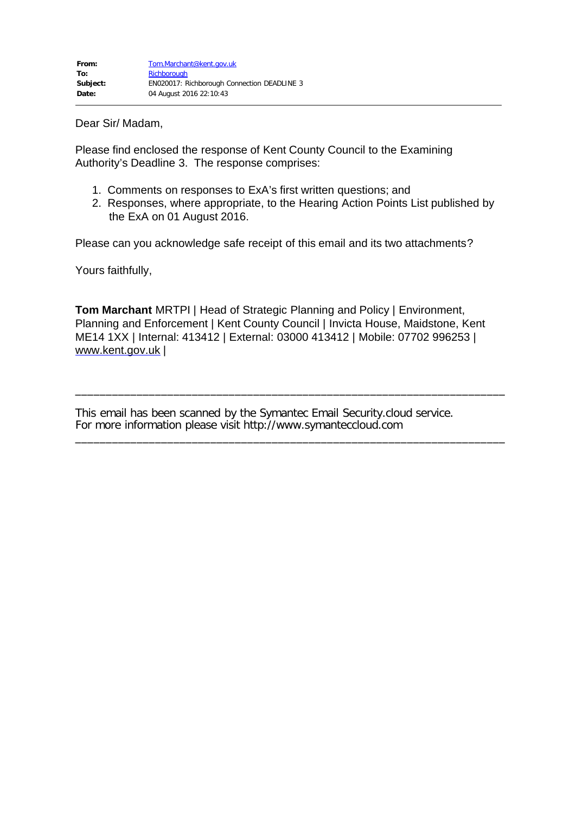Dear Sir/ Madam,

Please find enclosed the response of Kent County Council to the Examining Authority's Deadline 3. The response comprises:

- 1. Comments on responses to ExA's first written questions; and
- 2. Responses, where appropriate, to the Hearing Action Points List published by the ExA on 01 August 2016.

Please can you acknowledge safe receipt of this email and its two attachments?

Yours faithfully,

**Tom Marchant** MRTPI | Head of Strategic Planning and Policy | Environment, Planning and Enforcement | Kent County Council | Invicta House, Maidstone, Kent ME14 1XX | Internal: 413412 | External: 03000 413412 | Mobile: 07702 996253 | [www.kent.gov.uk](http://www.kent.gov.uk/) |

\_\_\_\_\_\_\_\_\_\_\_\_\_\_\_\_\_\_\_\_\_\_\_\_\_\_\_\_\_\_\_\_\_\_\_\_\_\_\_\_\_\_\_\_\_\_\_\_\_\_\_\_\_\_\_\_\_\_\_\_\_\_\_\_\_\_\_\_\_\_

\_\_\_\_\_\_\_\_\_\_\_\_\_\_\_\_\_\_\_\_\_\_\_\_\_\_\_\_\_\_\_\_\_\_\_\_\_\_\_\_\_\_\_\_\_\_\_\_\_\_\_\_\_\_\_\_\_\_\_\_\_\_\_\_\_\_\_\_\_\_

This email has been scanned by the Symantec Email Security.cloud service. For more information please visit http://www.symanteccloud.com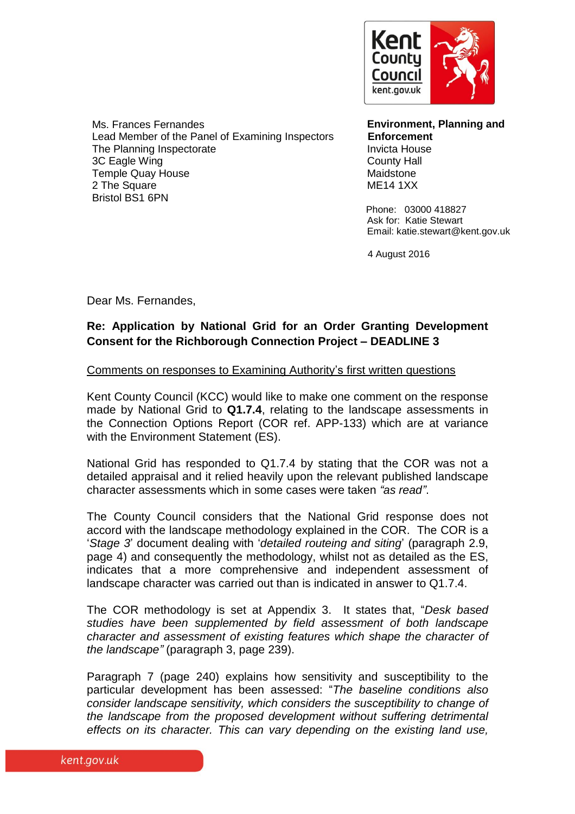

Ms. Frances Fernandes Lead Member of the Panel of Examining Inspectors The Planning Inspectorate 3C Eagle Wing Temple Quay House 2 The Square Bristol BS1 6PN

**Environment, Planning and Enforcement** Invicta House County Hall Maidstone ME14 1XX

 Phone: 03000 418827 Ask for: Katie Stewart Email: katie.stewart@kent.gov.uk

4 August 2016

Dear Ms. Fernandes,

## **Re: Application by National Grid for an Order Granting Development Consent for the Richborough Connection Project – DEADLINE 3**

#### Comments on responses to Examining Authority's first written questions

Kent County Council (KCC) would like to make one comment on the response made by National Grid to **Q1.7.4**, relating to the landscape assessments in the Connection Options Report (COR ref. APP-133) which are at variance with the Environment Statement (ES).

National Grid has responded to Q1.7.4 by stating that the COR was not a detailed appraisal and it relied heavily upon the relevant published landscape character assessments which in some cases were taken *"as read"*.

The County Council considers that the National Grid response does not accord with the landscape methodology explained in the COR. The COR is a '*Stage 3*' document dealing with '*detailed routeing and siting*' (paragraph 2.9, page 4) and consequently the methodology, whilst not as detailed as the ES, indicates that a more comprehensive and independent assessment of landscape character was carried out than is indicated in answer to Q1.7.4.

The COR methodology is set at Appendix 3. It states that, "*Desk based studies have been supplemented by field assessment of both landscape character and assessment of existing features which shape the character of the landscape"* (paragraph 3, page 239).

Paragraph 7 (page 240) explains how sensitivity and susceptibility to the particular development has been assessed: "*The baseline conditions also consider landscape sensitivity, which considers the susceptibility to change of the landscape from the proposed development without suffering detrimental effects on its character. This can vary depending on the existing land use,*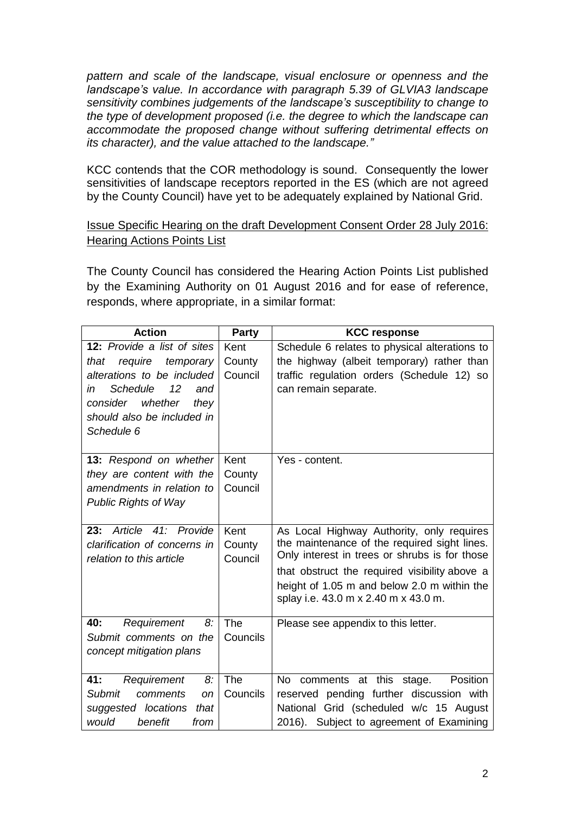*pattern and scale of the landscape, visual enclosure or openness and the landscape's value. In accordance with paragraph 5.39 of GLVIA3 landscape sensitivity combines judgements of the landscape's susceptibility to change to the type of development proposed (i.e. the degree to which the landscape can accommodate the proposed change without suffering detrimental effects on its character), and the value attached to the landscape."*

KCC contends that the COR methodology is sound. Consequently the lower sensitivities of landscape receptors reported in the ES (which are not agreed by the County Council) have yet to be adequately explained by National Grid.

### Issue Specific Hearing on the draft Development Consent Order 28 July 2016: Hearing Actions Points List

The County Council has considered the Hearing Action Points List published by the Examining Authority on 01 August 2016 and for ease of reference, responds, where appropriate, in a similar format:

| <b>Action</b>                                              | <b>Party</b>   | <b>KCC response</b>                                                                       |
|------------------------------------------------------------|----------------|-------------------------------------------------------------------------------------------|
| 12: Provide a list of sites                                | Kent           | Schedule 6 relates to physical alterations to                                             |
| require<br>that<br>temporary                               | County         | the highway (albeit temporary) rather than                                                |
| alterations to be included                                 | Council        | traffic regulation orders (Schedule 12) so                                                |
| 12<br><b>Schedule</b><br>and<br>in                         |                | can remain separate.                                                                      |
| consider whether<br>they                                   |                |                                                                                           |
| should also be included in                                 |                |                                                                                           |
| Schedule 6                                                 |                |                                                                                           |
|                                                            |                |                                                                                           |
| <b>13:</b> Respond on whether                              | Kent           | Yes - content.                                                                            |
| they are content with the                                  | County         |                                                                                           |
| amendments in relation to                                  | Council        |                                                                                           |
| <b>Public Rights of Way</b>                                |                |                                                                                           |
|                                                            |                |                                                                                           |
| Article 41: Provide<br>23:<br>clarification of concerns in | Kent<br>County | As Local Highway Authority, only requires<br>the maintenance of the required sight lines. |
| relation to this article                                   | Council        | Only interest in trees or shrubs is for those                                             |
|                                                            |                | that obstruct the required visibility above a                                             |
|                                                            |                | height of 1.05 m and below 2.0 m within the                                               |
|                                                            |                | splay i.e. 43.0 m x 2.40 m x 43.0 m.                                                      |
|                                                            |                |                                                                                           |
| 40:<br>Requirement<br>8:                                   | The            | Please see appendix to this letter.                                                       |
| Submit comments on the                                     | Councils       |                                                                                           |
| concept mitigation plans                                   |                |                                                                                           |
|                                                            |                |                                                                                           |
| 41:<br>Requirement<br>8:                                   | The            | No<br>comments at this<br>Position<br>stage.                                              |
| <b>Submit</b><br>comments<br><b>on</b>                     | Councils       | reserved pending further discussion with                                                  |
| suggested locations<br>that                                |                | National Grid (scheduled w/c 15 August                                                    |
| would<br>benefit<br>from                                   |                | 2016). Subject to agreement of Examining                                                  |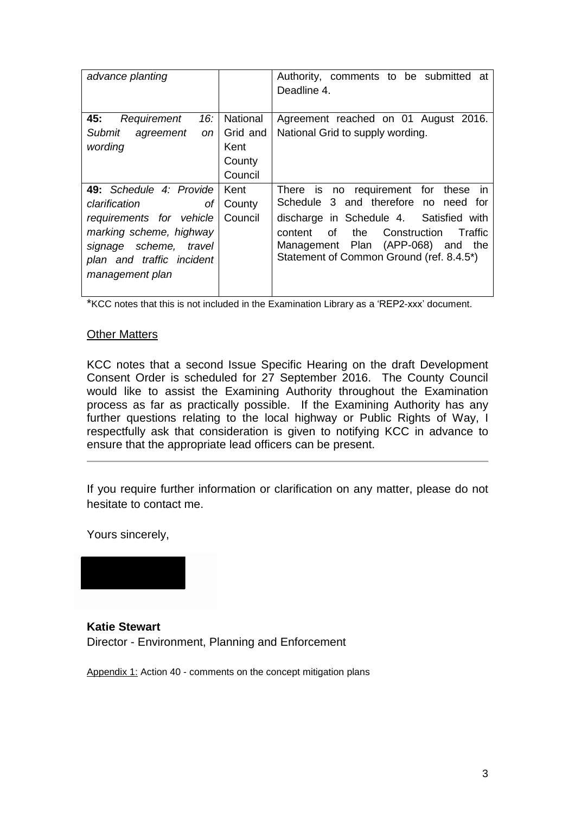| advance planting                                                                                                                                                                |                                                   | Authority, comments to be submitted at<br>Deadline 4.                                                                                                                                                                                                                          |
|---------------------------------------------------------------------------------------------------------------------------------------------------------------------------------|---------------------------------------------------|--------------------------------------------------------------------------------------------------------------------------------------------------------------------------------------------------------------------------------------------------------------------------------|
| 16: $\vert$<br>45:<br>Requirement<br><b>Submit</b><br>agreement<br><sub>on</sub><br>wording                                                                                     | National<br>Grid and<br>Kent<br>County<br>Council | Agreement reached on 01 August 2016.<br>National Grid to supply wording.                                                                                                                                                                                                       |
| 49: Schedule 4: Provide<br>clarification<br>Οf<br>requirements for vehicle<br>marking scheme, highway<br>signage scheme, travel<br>plan and traffic incident<br>management plan | Kent<br>County<br>Council                         | is no requirement for<br>There<br>these<br>$\mathsf{I}$<br>Schedule 3 and therefore no need for<br>discharge in Schedule 4. Satisfied with<br>of<br>the<br>Construction<br>Traffic<br>content<br>Management Plan (APP-068) and the<br>Statement of Common Ground (ref. 8.4.5*) |

\*KCC notes that this is not included in the Examination Library as a 'REP2-xxx' document.

#### Other Matters

KCC notes that a second Issue Specific Hearing on the draft Development Consent Order is scheduled for 27 September 2016. The County Council would like to assist the Examining Authority throughout the Examination process as far as practically possible. If the Examining Authority has any further questions relating to the local highway or Public Rights of Way, I respectfully ask that consideration is given to notifying KCC in advance to ensure that the appropriate lead officers can be present.

If you require further information or clarification on any matter, please do not hesitate to contact me.

Yours sincerely,

**Katie Stewart**  Director - Environment, Planning and Enforcement

Appendix 1: Action 40 - comments on the concept mitigation plans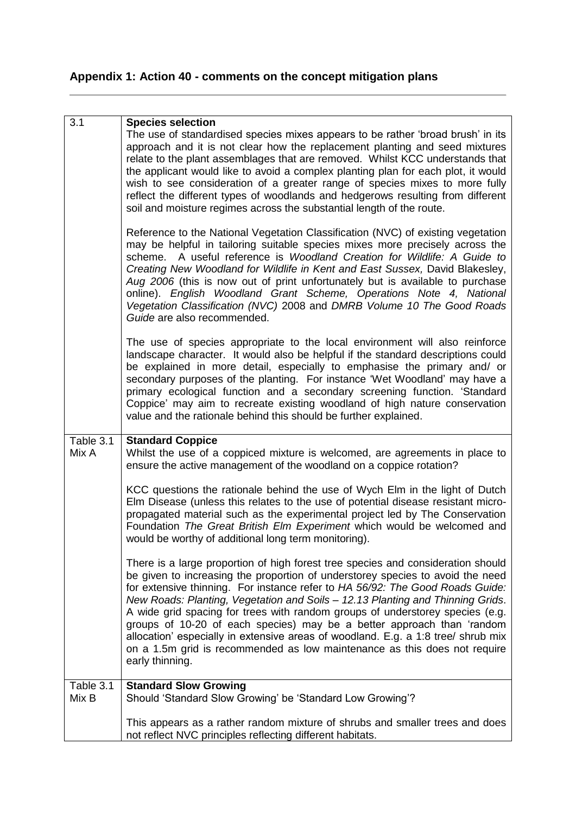# **Appendix 1: Action 40 - comments on the concept mitigation plans**

| 3.1                | <b>Species selection</b>                                                                                                                                                                                                                                                                                                                                                                                                                                                                                                                                                                                                                                                              |
|--------------------|---------------------------------------------------------------------------------------------------------------------------------------------------------------------------------------------------------------------------------------------------------------------------------------------------------------------------------------------------------------------------------------------------------------------------------------------------------------------------------------------------------------------------------------------------------------------------------------------------------------------------------------------------------------------------------------|
|                    | The use of standardised species mixes appears to be rather 'broad brush' in its<br>approach and it is not clear how the replacement planting and seed mixtures<br>relate to the plant assemblages that are removed. Whilst KCC understands that<br>the applicant would like to avoid a complex planting plan for each plot, it would<br>wish to see consideration of a greater range of species mixes to more fully<br>reflect the different types of woodlands and hedgerows resulting from different<br>soil and moisture regimes across the substantial length of the route.                                                                                                       |
|                    | Reference to the National Vegetation Classification (NVC) of existing vegetation<br>may be helpful in tailoring suitable species mixes more precisely across the<br>scheme. A useful reference is Woodland Creation for Wildlife: A Guide to<br>Creating New Woodland for Wildlife in Kent and East Sussex, David Blakesley,<br>Aug 2006 (this is now out of print unfortunately but is available to purchase<br>online). English Woodland Grant Scheme, Operations Note 4, National<br>Vegetation Classification (NVC) 2008 and DMRB Volume 10 The Good Roads<br>Guide are also recommended.                                                                                         |
|                    | The use of species appropriate to the local environment will also reinforce<br>landscape character. It would also be helpful if the standard descriptions could<br>be explained in more detail, especially to emphasise the primary and/ or<br>secondary purposes of the planting. For instance 'Wet Woodland' may have a<br>primary ecological function and a secondary screening function. 'Standard<br>Coppice' may aim to recreate existing woodland of high nature conservation<br>value and the rationale behind this should be further explained.                                                                                                                              |
| Table 3.1<br>Mix A | <b>Standard Coppice</b><br>Whilst the use of a coppiced mixture is welcomed, are agreements in place to<br>ensure the active management of the woodland on a coppice rotation?                                                                                                                                                                                                                                                                                                                                                                                                                                                                                                        |
|                    | KCC questions the rationale behind the use of Wych Elm in the light of Dutch<br>Elm Disease (unless this relates to the use of potential disease resistant micro-<br>propagated material such as the experimental project led by The Conservation<br>Foundation The Great British Elm Experiment which would be welcomed and<br>would be worthy of additional long term monitoring).                                                                                                                                                                                                                                                                                                  |
|                    | There is a large proportion of high forest tree species and consideration should<br>be given to increasing the proportion of understorey species to avoid the need<br>for extensive thinning. For instance refer to HA 56/92: The Good Roads Guide:<br>New Roads: Planting, Vegetation and Soils - 12.13 Planting and Thinning Grids.<br>A wide grid spacing for trees with random groups of understorey species (e.g.<br>groups of 10-20 of each species) may be a better approach than 'random<br>allocation' especially in extensive areas of woodland. E.g. a 1:8 tree/ shrub mix<br>on a 1.5m grid is recommended as low maintenance as this does not require<br>early thinning. |
| Table 3.1<br>Mix B | <b>Standard Slow Growing</b><br>Should 'Standard Slow Growing' be 'Standard Low Growing'?                                                                                                                                                                                                                                                                                                                                                                                                                                                                                                                                                                                             |
|                    |                                                                                                                                                                                                                                                                                                                                                                                                                                                                                                                                                                                                                                                                                       |
|                    | This appears as a rather random mixture of shrubs and smaller trees and does<br>not reflect NVC principles reflecting different habitats.                                                                                                                                                                                                                                                                                                                                                                                                                                                                                                                                             |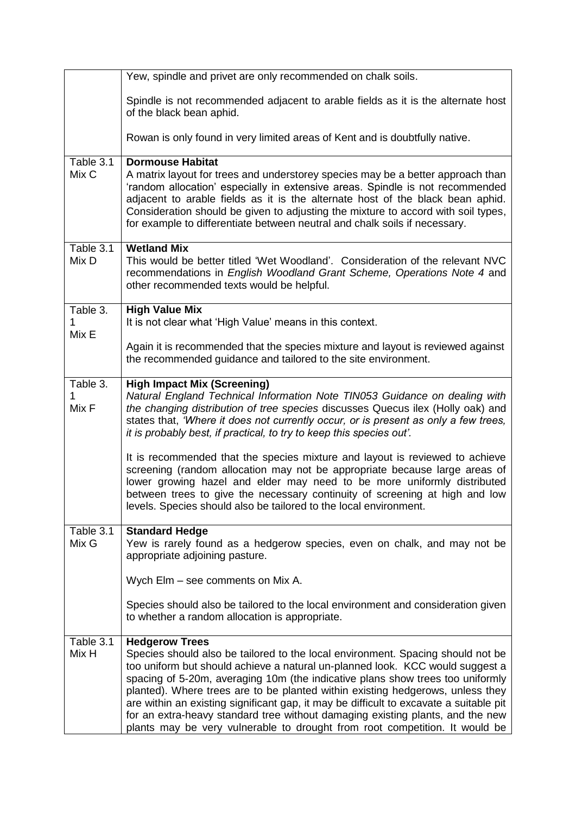|                        | Yew, spindle and privet are only recommended on chalk soils.                                                                                                                                                                                                                                                                                                                                                                                                                                                                                                                                                             |
|------------------------|--------------------------------------------------------------------------------------------------------------------------------------------------------------------------------------------------------------------------------------------------------------------------------------------------------------------------------------------------------------------------------------------------------------------------------------------------------------------------------------------------------------------------------------------------------------------------------------------------------------------------|
|                        | Spindle is not recommended adjacent to arable fields as it is the alternate host<br>of the black bean aphid.                                                                                                                                                                                                                                                                                                                                                                                                                                                                                                             |
|                        | Rowan is only found in very limited areas of Kent and is doubtfully native.                                                                                                                                                                                                                                                                                                                                                                                                                                                                                                                                              |
| Table 3.1<br>Mix C     | <b>Dormouse Habitat</b><br>A matrix layout for trees and understorey species may be a better approach than<br>'random allocation' especially in extensive areas. Spindle is not recommended<br>adjacent to arable fields as it is the alternate host of the black bean aphid.<br>Consideration should be given to adjusting the mixture to accord with soil types,<br>for example to differentiate between neutral and chalk soils if necessary.                                                                                                                                                                         |
| Table 3.1<br>Mix D     | <b>Wetland Mix</b><br>This would be better titled 'Wet Woodland'. Consideration of the relevant NVC<br>recommendations in English Woodland Grant Scheme, Operations Note 4 and<br>other recommended texts would be helpful.                                                                                                                                                                                                                                                                                                                                                                                              |
| Table 3.<br>1<br>Mix E | <b>High Value Mix</b><br>It is not clear what 'High Value' means in this context.                                                                                                                                                                                                                                                                                                                                                                                                                                                                                                                                        |
|                        | Again it is recommended that the species mixture and layout is reviewed against<br>the recommended guidance and tailored to the site environment.                                                                                                                                                                                                                                                                                                                                                                                                                                                                        |
| Table 3.<br>Mix F      | <b>High Impact Mix (Screening)</b><br>Natural England Technical Information Note TIN053 Guidance on dealing with<br>the changing distribution of tree species discusses Quecus ilex (Holly oak) and<br>states that, 'Where it does not currently occur, or is present as only a few trees,<br>it is probably best, if practical, to try to keep this species out'.                                                                                                                                                                                                                                                       |
|                        | It is recommended that the species mixture and layout is reviewed to achieve<br>screening (random allocation may not be appropriate because large areas of<br>lower growing hazel and elder may need to be more uniformly distributed<br>between trees to give the necessary continuity of screening at high and low<br>levels. Species should also be tailored to the local environment.                                                                                                                                                                                                                                |
| Table 3.1<br>Mix G     | <b>Standard Hedge</b><br>Yew is rarely found as a hedgerow species, even on chalk, and may not be<br>appropriate adjoining pasture.                                                                                                                                                                                                                                                                                                                                                                                                                                                                                      |
|                        | Wych Elm - see comments on Mix A.                                                                                                                                                                                                                                                                                                                                                                                                                                                                                                                                                                                        |
|                        | Species should also be tailored to the local environment and consideration given<br>to whether a random allocation is appropriate.                                                                                                                                                                                                                                                                                                                                                                                                                                                                                       |
| Table 3.1<br>Mix H     | <b>Hedgerow Trees</b><br>Species should also be tailored to the local environment. Spacing should not be<br>too uniform but should achieve a natural un-planned look. KCC would suggest a<br>spacing of 5-20m, averaging 10m (the indicative plans show trees too uniformly<br>planted). Where trees are to be planted within existing hedgerows, unless they<br>are within an existing significant gap, it may be difficult to excavate a suitable pit<br>for an extra-heavy standard tree without damaging existing plants, and the new<br>plants may be very vulnerable to drought from root competition. It would be |